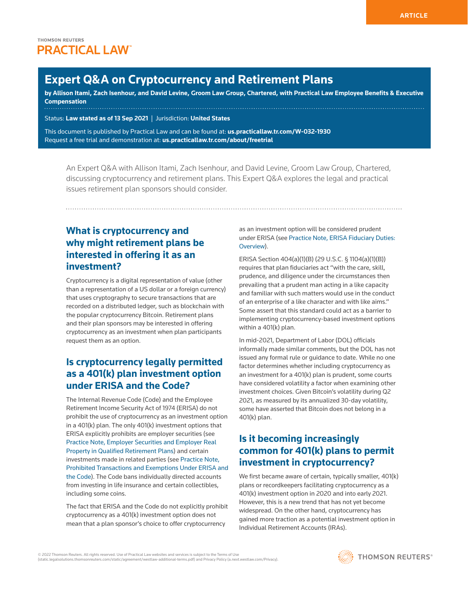# **Expert Q&A on Cryptocurrency and Retirement Plans**

**by Allison Itami, Zach Isenhour, and David Levine, [Groom Law Group, Chartered](http://www.westlaw.com/Document/I7c977163b64b11e598dc8b09b4f043e0/View/FullText.html?originationContext=document&vr=3.0&rs=cblt1.0&transitionType=PLDocumentLink&billingHash=9D10C5CFA88227475A0354CEC27968424E92188DCA78C240186AE8FCDAB05C8D&contextData=(sc.Search)), with Practical Law Employee Benefits & Executive Compensation** 

Status: **Law stated as of 13 Sep 2021** | Jurisdiction: **United States**

This document is published by Practical Law and can be found at[:](http://us.practicallaw.tr.com/W-028-4180) **[us.practicallaw.tr.com/W-032-1930](http://us.practicallaw.tr.com/W-032-1930)** Request a free trial and demonstration at: **[us.practicallaw.tr.com/about/freetrial](http://us.practicallaw.tr.com/about/freetrial)**

An Expert Q&A with Allison Itami, Zach Isenhour, and David Levine, Groom Law Group, Chartered, discussing cryptocurrency and retirement plans. This Expert Q&A explores the legal and practical issues retirement plan sponsors should consider.

# **What is cryptocurrency and why might retirement plans be interested in offering it as an investment?**

Cryptocurrency is a digital representation of value (other than a representation of a US dollar or a foreign currency) that uses cryptography to secure transactions that are recorded on a distributed ledger, such as blockchain with the popular cryptocurrency Bitcoin. Retirement plans and their plan sponsors may be interested in offering cryptocurrency as an investment when plan participants request them as an option.

#### **Is cryptocurrency legally permitted as a 401(k) plan investment option under ERISA and the Code?**

The [Internal Revenue Code](http://www.westlaw.com/Document/Ibb0a3ae4ef0511e28578f7ccc38dcbee/View/FullText.html?originationContext=document&vr=3.0&rs=cblt1.0&transitionType=DocumentItem&contextData=(sc.Search)) (Code) and the [Employee](http://www.westlaw.com/Document/I1559f7cceef211e28578f7ccc38dcbee/View/FullText.html?originationContext=document&vr=3.0&rs=cblt1.0&transitionType=DocumentItem&contextData=(sc.Search))  [Retirement Income Security Act of 1974](http://www.westlaw.com/Document/I1559f7cceef211e28578f7ccc38dcbee/View/FullText.html?originationContext=document&vr=3.0&rs=cblt1.0&transitionType=DocumentItem&contextData=(sc.Search)) (ERISA) do not prohibit the use of cryptocurrency as an investment option in a 401(k) plan. The only 401(k) investment options that ERISA explicitly prohibits are employer securities (see [Practice Note, Employer Securities and Employer Real](http://us.practicallaw.tr.com/0-533-0646)  [Property in Qualified Retirement Plans](http://us.practicallaw.tr.com/0-533-0646)) and certain investments made in related parties (see [Practice Note,](http://us.practicallaw.tr.com/9-526-8386)  [Prohibited Transactions and Exemptions Under ERISA and](http://us.practicallaw.tr.com/9-526-8386) [the Code](http://us.practicallaw.tr.com/9-526-8386)). The Code bans individually directed accounts from investing in life insurance and certain collectibles, including some coins.

The fact that ERISA and the Code do not explicitly prohibit cryptocurrency as a 401(k) investment option does not mean that a plan sponsor's choice to offer cryptocurrency

as an investment option will be considered prudent under ERISA (see [Practice Note, ERISA Fiduciary Duties:](http://us.practicallaw.tr.com/5-504-0060)  [Overview](http://us.practicallaw.tr.com/5-504-0060)).

ERISA Section 404(a)(1)(B) ([29 U.S.C. § 1104\(a\)\(1\)\(B\)](http://www.westlaw.com/Link/Document/FullText?findType=L&pubNum=1000546&cite=29USCAS1104&originatingDoc=Id814c9c4f59311ebbea4f0dc9fb69570&refType=SP&originationContext=document&vr=3.0&rs=cblt1.0&transitionType=PLDocumentLink&billingHash=E2EC1CD4772F207DEF907BB8CB94BEAB3E8058C7C7A4FFFBB6A13BC5C22BF5C6&contextData=(sc.Search)#co_pp_50660000823d1)) requires that plan fiduciaries act "with the care, skill, prudence, and diligence under the circumstances then prevailing that a prudent man acting in a like capacity and familiar with such matters would use in the conduct of an enterprise of a like character and with like aims." Some assert that this standard could act as a barrier to implementing cryptocurrency-based investment options within a 401(k) plan.

In mid-2021, [Department of Labor](http://www.westlaw.com/Document/Ibb0a3aefef0511e28578f7ccc38dcbee/View/FullText.html?originationContext=document&vr=3.0&rs=cblt1.0&transitionType=DocumentItem&contextData=(sc.Search)) (DOL) officials informally made similar comments, but the DOL has not issued any formal rule or guidance to date. While no one factor determines whether including cryptocurrency as an investment for a 401(k) plan is prudent, some courts have considered volatility a factor when examining other investment choices. Given Bitcoin's volatility during Q2 2021, as measured by its annualized 30-day volatility, some have asserted that Bitcoin does not belong in a 401(k) plan.

## **Is it becoming increasingly common for 401(k) plans to permit investment in cryptocurrency?**

We first became aware of certain, typically smaller, 401(k) plans or recordkeepers facilitating cryptocurrency as a 401(k) investment option in 2020 and into early 2021. However, this is a new trend that has not yet become widespread. On the other hand, cryptocurrency has gained more traction as a potential investment option in [Individual Retirement Accounts](http://www.westlaw.com/Document/Ic8743d15f77611e598dc8b09b4f043e0/View/FullText.html?originationContext=document&vr=3.0&rs=cblt1.0&transitionType=DocumentItem&contextData=(sc.Search)) (IRAs).

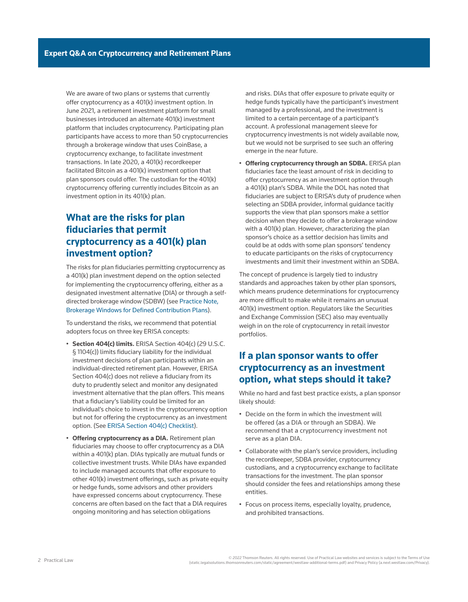We are aware of two plans or systems that currently offer cryptocurrency as a 401(k) investment option. In June 2021, a retirement investment platform for small businesses introduced an alternate 401(k) investment platform that includes cryptocurrency. Participating plan participants have access to more than 50 cryptocurrencies through a brokerage window that uses CoinBase, a cryptocurrency exchange, to facilitate investment transactions. In late 2020, a 401(k) recordkeeper facilitated Bitcoin as a 401(k) investment option that plan sponsors could offer. The custodian for the 401(k) cryptocurrency offering currently includes Bitcoin as an investment option in its 401(k) plan.

### **What are the risks for plan fiduciaries that permit cryptocurrency as a 401(k) plan investment option?**

The risks for plan fiduciaries permitting cryptocurrency as a 401(k) plan investment depend on the option selected for implementing the cryptocurrency offering, either as a designated investment alternative (DIA) or through a selfdirected brokerage window (SDBW) (see [Practice Note,](http://us.practicallaw.tr.com/0-554-3313)  [Brokerage Windows for Defined Contribution Plans](http://us.practicallaw.tr.com/0-554-3313)).

To understand the risks, we recommend that potential adopters focus on three key ERISA concepts:

- **Section 404(c) limits.** ERISA Section 404(c) ([29 U.S.C.](http://www.westlaw.com/Link/Document/FullText?findType=L&pubNum=1000546&cite=29USCAS1104&originatingDoc=Id814c9c4f59311ebbea4f0dc9fb69570&refType=SP&originationContext=document&vr=3.0&rs=cblt1.0&transitionType=PLDocumentLink&billingHash=E2EC1CD4772F207DEF907BB8CB94BEAB3E8058C7C7A4FFFBB6A13BC5C22BF5C6&contextData=(sc.Search)#co_pp_4b24000003ba5)  [§ 1104\(c\)](http://www.westlaw.com/Link/Document/FullText?findType=L&pubNum=1000546&cite=29USCAS1104&originatingDoc=Id814c9c4f59311ebbea4f0dc9fb69570&refType=SP&originationContext=document&vr=3.0&rs=cblt1.0&transitionType=PLDocumentLink&billingHash=E2EC1CD4772F207DEF907BB8CB94BEAB3E8058C7C7A4FFFBB6A13BC5C22BF5C6&contextData=(sc.Search)#co_pp_4b24000003ba5)) limits fiduciary liability for the individual investment decisions of plan participants within an individual-directed retirement plan. However, ERISA Section 404(c) does not relieve a fiduciary from its duty to prudently select and monitor any designated investment alternative that the plan offers. This means that a fiduciary's liability could be limited for an individual's choice to invest in the cryptocurrency option but not for offering the cryptocurrency as an investment option. (See [ERISA Section 404\(c\) Checklist\)](http://us.practicallaw.tr.com/6-503-3021).
- **Offering cryptocurrency as a DIA.** Retirement plan fiduciaries may choose to offer cryptocurrency as a DIA within a 401(k) plan. DIAs typically are mutual funds or collective investment trusts. While DIAs have expanded to include managed accounts that offer exposure to other 401(k) investment offerings, such as private equity or hedge funds, some advisors and other providers have expressed concerns about cryptocurrency. These concerns are often based on the fact that a DIA requires ongoing monitoring and has selection obligations

and risks. DIAs that offer exposure to private equity or hedge funds typically have the participant's investment managed by a professional, and the investment is limited to a certain percentage of a participant's account. A professional management sleeve for cryptocurrency investments is not widely available now, but we would not be surprised to see such an offering emerge in the near future.

• **Offering cryptocurrency through an SDBA.** ERISA plan fiduciaries face the least amount of risk in deciding to offer cryptocurrency as an investment option through a 401(k) plan's SDBA. While the DOL has noted that fiduciaries are subject to ERISA's duty of prudence when selecting an SDBA provider, informal guidance tacitly supports the view that plan sponsors make a settlor decision when they decide to offer a brokerage window with a 401(k) plan. However, characterizing the plan sponsor's choice as a settlor decision has limits and could be at odds with some plan sponsors' tendency to educate participants on the risks of cryptocurrency investments and limit their investment within an SDBA.

The concept of prudence is largely tied to industry standards and approaches taken by other plan sponsors, which means prudence determinations for cryptocurrency are more difficult to make while it remains an unusual 401(k) investment option. Regulators like the [Securities](http://www.westlaw.com/Document/I03f4da84eee311e28578f7ccc38dcbee/View/FullText.html?originationContext=document&vr=3.0&rs=cblt1.0&transitionType=DocumentItem&contextData=(sc.Search))  [and Exchange Commission](http://www.westlaw.com/Document/I03f4da84eee311e28578f7ccc38dcbee/View/FullText.html?originationContext=document&vr=3.0&rs=cblt1.0&transitionType=DocumentItem&contextData=(sc.Search)) (SEC) also may eventually weigh in on the role of cryptocurrency in retail investor portfolios.

#### **If a plan sponsor wants to offer cryptocurrency as an investment option, what steps should it take?**

While no hard and fast best practice exists, a plan sponsor likely should:

- Decide on the form in which the investment will be offered (as a DIA or through an SDBA). We recommend that a cryptocurrency investment not serve as a plan DIA.
- Collaborate with the plan's service providers, including the recordkeeper, SDBA provider, cryptocurrency custodians, and a cryptocurrency exchange to facilitate transactions for the investment. The plan sponsor should consider the fees and relationships among these entities.
- Focus on process items, especially loyalty, prudence, and prohibited transactions.